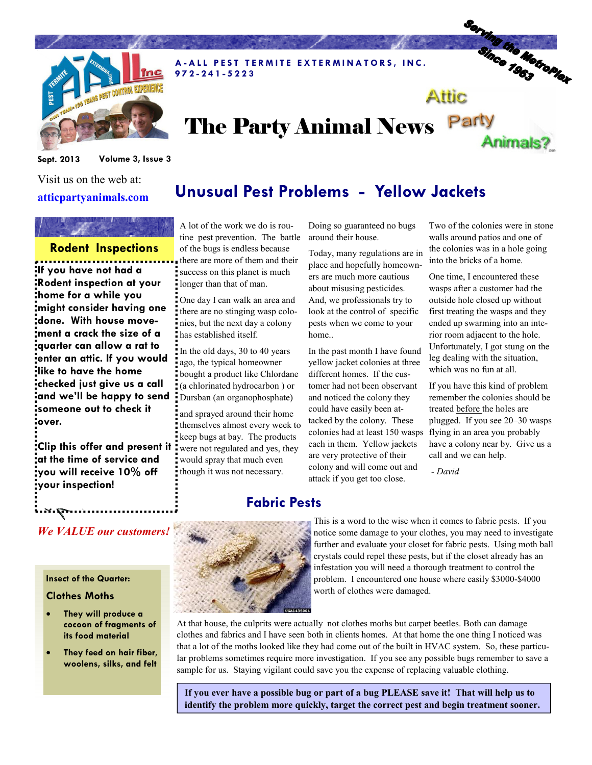

A-ALL PEST TERMITE EXTERMINATORS, INC. 9 7 2 - 2 4 1 - 5 2 2 3

# Serving the Metroplex Attic

Animals?

# The Party Animal News Party

Unusual Pest Problems - Yellow Jackets

Sept. 2013 Volume 3, Issue 3

Visit us on the web at: atticpartyanimals.com

#### Rodent Inspections

If you have not had a Rodent inspection at your home for a while you might consider having one done. With house movement a crack the size of a quarter can allow a rat to enter an attic. If you would like to have the home checked just give us a call and we'll be happy to send someone out to check it over.

Clip this offer and present it at the time of service and you will receive 10% off your inspection!

A lot of the work we do is routine pest prevention. The battle of the bugs is endless because there are more of them and their success on this planet is much longer than that of man.

One day I can walk an area and there are no stinging wasp colonies, but the next day a colony has established itself.

In the old days, 30 to 40 years ago, the typical homeowner bought a product like Chlordane (a chlorinated hydrocarbon ) or Dursban (an organophosphate)

and sprayed around their home themselves almost every week to keep bugs at bay. The products were not regulated and yes, they would spray that much even though it was not necessary.

Doing so guaranteed no bugs around their house.

Today, many regulations are in place and hopefully homeowners are much more cautious about misusing pesticides. And, we professionals try to look at the control of specific pests when we come to your home..

In the past month I have found yellow jacket colonies at three different homes. If the customer had not been observant and noticed the colony they could have easily been attacked by the colony. These colonies had at least 150 wasps flying in an area you probably each in them. Yellow jackets are very protective of their colony and will come out and attack if you get too close.

Two of the colonies were in stone walls around patios and one of the colonies was in a hole going into the bricks of a home.

One time, I encountered these wasps after a customer had the outside hole closed up without first treating the wasps and they ended up swarming into an interior room adjacent to the hole. Unfortunately, I got stung on the leg dealing with the situation, which was no fun at all.

If you have this kind of problem remember the colonies should be treated before the holes are plugged. If you see 20–30 wasps have a colony near by. Give us a call and we can help.

- David

### Fabric Pests



This is a word to the wise when it comes to fabric pests. If you notice some damage to your clothes, you may need to investigate further and evaluate your closet for fabric pests. Using moth ball crystals could repel these pests, but if the closet already has an infestation you will need a thorough treatment to control the problem. I encountered one house where easily \$3000-\$4000 worth of clothes were damaged.

At that house, the culprits were actually not clothes moths but carpet beetles. Both can damage clothes and fabrics and I have seen both in clients homes. At that home the one thing I noticed was that a lot of the moths looked like they had come out of the built in HVAC system. So, these particular problems sometimes require more investigation. If you see any possible bugs remember to save a sample for us. Staying vigilant could save you the expense of replacing valuable clothing.

If you ever have a possible bug or part of a bug PLEASE save it! That will help us to identify the problem more quickly, target the correct pest and begin treatment sooner.

#### We VALUE our customers!

#### Insect of the Quarter:

Expires 12-31-13 9-2013

#### Clothes Moths

- They will produce a cocoon of fragments of its food material
- They feed on hair fiber, woolens, silks, and felt